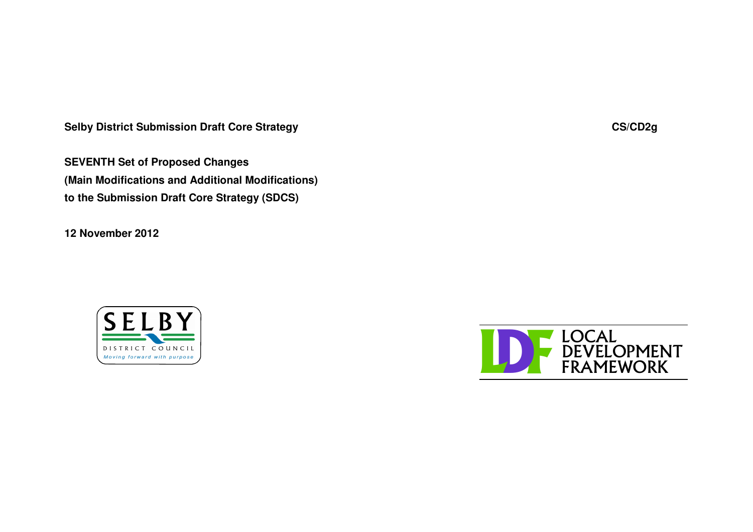**Selby District Submission Draft Core Strategy CS/CD2g**

**SEVENTH Set of Proposed Changes (Main Modifications and Additional Modifications) to the Submission Draft Core Strategy (SDCS)**

**12 November 2012**



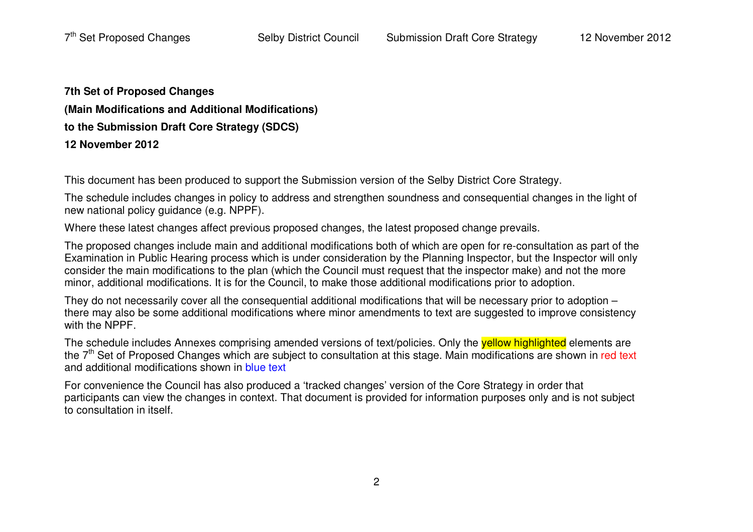**7th Set of Proposed Changes (Main Modifications and Additional Modifications) to the Submission Draft Core Strategy (SDCS) 12 November 2012**

This document has been produced to support the Submission version of the Selby District Core Strategy.

The schedule includes changes in policy to address and strengthen soundness and consequential changes in the light of new national policy guidance (e.g. NPPF).

Where these latest changes affect previous proposed changes, the latest proposed change prevails.

The proposed changes include main and additional modifications both of which are open for re-consultation as part of the Examination in Public Hearing process which is under consideration by the Planning Inspector, but the Inspector will only consider the main modifications to the plan (which the Council must request that the inspector make) and not the more minor, additional modifications. It is for the Council, to make those additional modifications prior to adoption.

They do not necessarily cover all the consequential additional modifications that will be necessary prior to adoption – there may also be some additional modifications where minor amendments to text are suggested to improve consistency with the NPPF.

The schedule includes Annexes comprising amended versions of text/policies. Only the <mark>yellow highlighted</mark> elements are the 7<sup>th</sup> Set of Proposed Changes which are subject to consultation at this stage. Main modifications are shown in red text and additional modifications shown in <mark>blue text</mark>

For convenience the Council has also produced <sup>a</sup> 'tracked changes' version of the Core Strategy in order that participants can view the changes in context. That document is provided for information purposes only and is not subject to consultation in itself.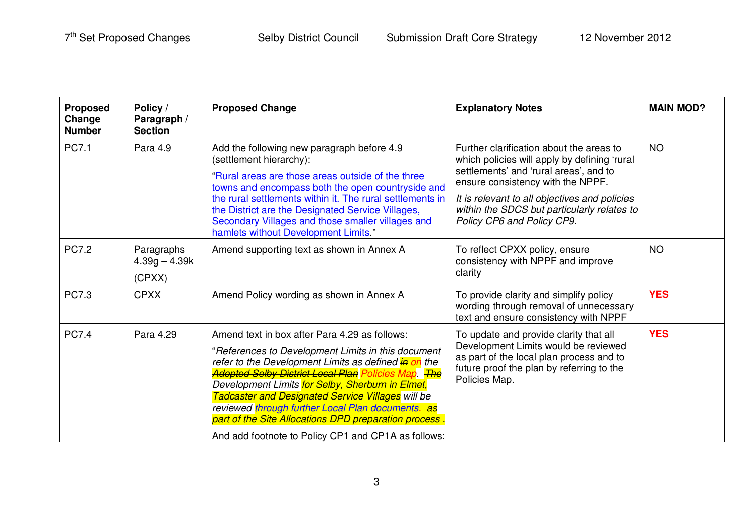| <b>Proposed</b><br>Change<br><b>Number</b> | Policy /<br>Paragraph /<br><b>Section</b> | <b>Proposed Change</b>                                                                                                                                                                                                                                                                                                                                                                                                                                                                                        | <b>Explanatory Notes</b>                                                                                                                                                                                                                                                                              | <b>MAIN MOD?</b> |
|--------------------------------------------|-------------------------------------------|---------------------------------------------------------------------------------------------------------------------------------------------------------------------------------------------------------------------------------------------------------------------------------------------------------------------------------------------------------------------------------------------------------------------------------------------------------------------------------------------------------------|-------------------------------------------------------------------------------------------------------------------------------------------------------------------------------------------------------------------------------------------------------------------------------------------------------|------------------|
| PC7.1                                      | Para 4.9                                  | Add the following new paragraph before 4.9<br>(settlement hierarchy):<br>"Rural areas are those areas outside of the three<br>towns and encompass both the open countryside and<br>the rural settlements within it. The rural settlements in<br>the District are the Designated Service Villages,<br>Secondary Villages and those smaller villages and<br>hamlets without Development Limits."                                                                                                                | Further clarification about the areas to<br>which policies will apply by defining 'rural<br>settlements' and 'rural areas', and to<br>ensure consistency with the NPPF.<br>It is relevant to all objectives and policies<br>within the SDCS but particularly relates to<br>Policy CP6 and Policy CP9. | <b>NO</b>        |
| <b>PC7.2</b>                               | Paragraphs<br>$4.39g - 4.39k$<br>(CPXX)   | Amend supporting text as shown in Annex A                                                                                                                                                                                                                                                                                                                                                                                                                                                                     | To reflect CPXX policy, ensure<br>consistency with NPPF and improve<br>clarity                                                                                                                                                                                                                        | <b>NO</b>        |
| <b>PC7.3</b>                               | <b>CPXX</b>                               | Amend Policy wording as shown in Annex A                                                                                                                                                                                                                                                                                                                                                                                                                                                                      | To provide clarity and simplify policy<br>wording through removal of unnecessary<br>text and ensure consistency with NPPF                                                                                                                                                                             | <b>YES</b>       |
| <b>PC7.4</b>                               | Para 4.29                                 | Amend text in box after Para 4.29 as follows:<br>"References to Development Limits in this document<br>refer to the Development Limits as defined in on the<br><b>Adopted Selby District Local Plan Policies Map.</b> The<br>Development Limits for Selby, Sherburn in Elmet,<br><b>Tadcaster and Designated Service Villages</b> will be<br>reviewed through further Local Plan documents. as<br>part of the Site Allocations DPD preparation process<br>And add footnote to Policy CP1 and CP1A as follows: | To update and provide clarity that all<br>Development Limits would be reviewed<br>as part of the local plan process and to<br>future proof the plan by referring to the<br>Policies Map.                                                                                                              | <b>YES</b>       |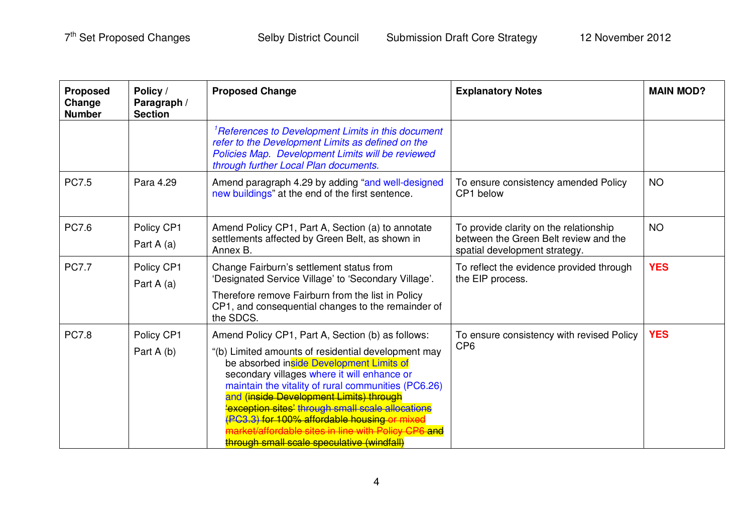| <b>Proposed</b><br>Change<br><b>Number</b> | Policy /<br>Paragraph /<br><b>Section</b> | <b>Proposed Change</b>                                                                                                                                                                                                                                                                                                                                                                                                                                                                              | <b>Explanatory Notes</b>                                                                                         | <b>MAIN MOD?</b> |
|--------------------------------------------|-------------------------------------------|-----------------------------------------------------------------------------------------------------------------------------------------------------------------------------------------------------------------------------------------------------------------------------------------------------------------------------------------------------------------------------------------------------------------------------------------------------------------------------------------------------|------------------------------------------------------------------------------------------------------------------|------------------|
|                                            |                                           | <sup>1</sup> References to Development Limits in this document<br>refer to the Development Limits as defined on the<br>Policies Map. Development Limits will be reviewed<br>through further Local Plan documents.                                                                                                                                                                                                                                                                                   |                                                                                                                  |                  |
| <b>PC7.5</b>                               | Para 4.29                                 | Amend paragraph 4.29 by adding "and well-designed<br>new buildings" at the end of the first sentence.                                                                                                                                                                                                                                                                                                                                                                                               | To ensure consistency amended Policy<br>CP1 below                                                                | <b>NO</b>        |
| <b>PC7.6</b>                               | Policy CP1<br>Part A (a)                  | Amend Policy CP1, Part A, Section (a) to annotate<br>settlements affected by Green Belt, as shown in<br>Annex B.                                                                                                                                                                                                                                                                                                                                                                                    | To provide clarity on the relationship<br>between the Green Belt review and the<br>spatial development strategy. | <b>NO</b>        |
| <b>PC7.7</b>                               | Policy CP1<br>Part A (a)                  | Change Fairburn's settlement status from<br>'Designated Service Village' to 'Secondary Village'.<br>Therefore remove Fairburn from the list in Policy<br>CP1, and consequential changes to the remainder of<br>the SDCS.                                                                                                                                                                                                                                                                            | To reflect the evidence provided through<br>the EIP process.                                                     | <b>YES</b>       |
| <b>PC7.8</b>                               | Policy CP1<br>Part A (b)                  | Amend Policy CP1, Part A, Section (b) as follows:<br>"(b) Limited amounts of residential development may<br>be absorbed inside Development Limits of<br>secondary villages where it will enhance or<br>maintain the vitality of rural communities (PC6.26)<br>and (inside Development Limits) through<br>'exception sites' through small scale allocations<br>(PC3.3) for 100% affordable housing o<br>t/affordable sites in line with Policy CP6 and<br>through small scale speculative (windfall) | To ensure consistency with revised Policy<br>CP <sub>6</sub>                                                     | <b>YES</b>       |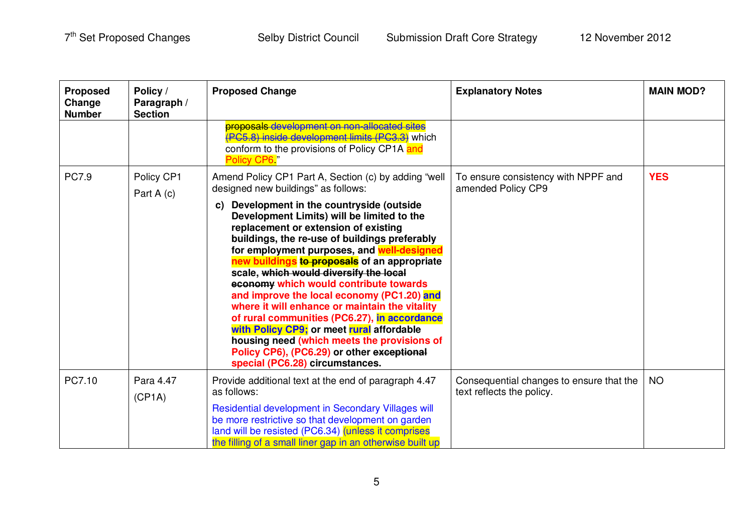| <b>Proposed</b><br>Change<br><b>Number</b> | Policy /<br>Paragraph /<br><b>Section</b> | <b>Proposed Change</b>                                                                                                                                                                                                                                                                                                                                                                                                                                                                                                                                                                                                                                                                                                                                                                             | <b>Explanatory Notes</b>                                              | <b>MAIN MOD?</b> |
|--------------------------------------------|-------------------------------------------|----------------------------------------------------------------------------------------------------------------------------------------------------------------------------------------------------------------------------------------------------------------------------------------------------------------------------------------------------------------------------------------------------------------------------------------------------------------------------------------------------------------------------------------------------------------------------------------------------------------------------------------------------------------------------------------------------------------------------------------------------------------------------------------------------|-----------------------------------------------------------------------|------------------|
|                                            |                                           | proposals development on non-allocated sites<br>(PC5.8) inside development limits (PC3.3) which<br>conform to the provisions of Policy CP1A and<br>Policy CP6 <sup>"</sup>                                                                                                                                                                                                                                                                                                                                                                                                                                                                                                                                                                                                                         |                                                                       |                  |
| <b>PC7.9</b>                               | Policy CP1<br>Part A (c)                  | Amend Policy CP1 Part A, Section (c) by adding "well<br>designed new buildings" as follows:<br>Development in the countryside (outside<br>C)<br>Development Limits) will be limited to the<br>replacement or extension of existing<br>buildings, the re-use of buildings preferably<br>for employment purposes, and well-designed<br>new buildings to proposals of an appropriate<br>scale, which would diversify the local<br>economy which would contribute towards<br>and improve the local economy (PC1.20) and<br>where it will enhance or maintain the vitality<br>of rural communities (PC6.27), in accordance<br>with Policy CP9; or meet rural affordable<br>housing need (which meets the provisions of<br>Policy CP6), (PC6.29) or other exceptional<br>special (PC6.28) circumstances. | To ensure consistency with NPPF and<br>amended Policy CP9             | <b>YES</b>       |
| PC7.10                                     | Para 4.47<br>(CP1A)                       | Provide additional text at the end of paragraph 4.47<br>as follows:<br>Residential development in Secondary Villages will<br>be more restrictive so that development on garden<br>land will be resisted (PC6.34) (unless it comprises<br>the filling of a small liner gap in an otherwise built up                                                                                                                                                                                                                                                                                                                                                                                                                                                                                                 | Consequential changes to ensure that the<br>text reflects the policy. | <b>NO</b>        |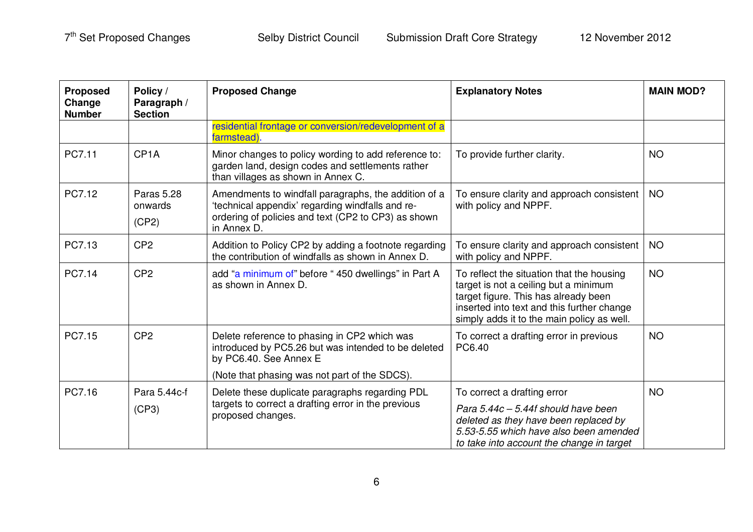| <b>Proposed</b><br>Change<br><b>Number</b> | Policy /<br>Paragraph /<br><b>Section</b> | <b>Proposed Change</b>                                                                                                                                                         | <b>Explanatory Notes</b>                                                                                                                                                                                               | <b>MAIN MOD?</b> |
|--------------------------------------------|-------------------------------------------|--------------------------------------------------------------------------------------------------------------------------------------------------------------------------------|------------------------------------------------------------------------------------------------------------------------------------------------------------------------------------------------------------------------|------------------|
|                                            |                                           | residential frontage or conversion/redevelopment of a<br>farmstead).                                                                                                           |                                                                                                                                                                                                                        |                  |
| PC7.11                                     | CP <sub>1</sub> A                         | Minor changes to policy wording to add reference to:<br>garden land, design codes and settlements rather<br>than villages as shown in Annex C.                                 | To provide further clarity.                                                                                                                                                                                            | <b>NO</b>        |
| PC7.12                                     | <b>Paras 5.28</b><br>onwards<br>(CP2)     | Amendments to windfall paragraphs, the addition of a<br>'technical appendix' regarding windfalls and re-<br>ordering of policies and text (CP2 to CP3) as shown<br>in Annex D. | To ensure clarity and approach consistent<br>with policy and NPPF.                                                                                                                                                     | <b>NO</b>        |
| PC7.13                                     | CP <sub>2</sub>                           | Addition to Policy CP2 by adding a footnote regarding<br>the contribution of windfalls as shown in Annex D.                                                                    | To ensure clarity and approach consistent<br>with policy and NPPF.                                                                                                                                                     | <b>NO</b>        |
| PC7.14                                     | CP <sub>2</sub>                           | add "a minimum of" before "450 dwellings" in Part A<br>as shown in Annex D.                                                                                                    | To reflect the situation that the housing<br>target is not a ceiling but a minimum<br>target figure. This has already been<br>inserted into text and this further change<br>simply adds it to the main policy as well. | <b>NO</b>        |
| PC7.15                                     | CP <sub>2</sub>                           | Delete reference to phasing in CP2 which was<br>introduced by PC5.26 but was intended to be deleted<br>by PC6.40. See Annex E                                                  | To correct a drafting error in previous<br>PC6.40                                                                                                                                                                      | <b>NO</b>        |
|                                            |                                           | (Note that phasing was not part of the SDCS).                                                                                                                                  |                                                                                                                                                                                                                        |                  |
| PC7.16                                     | Para 5.44c-f<br>(CP3)                     | Delete these duplicate paragraphs regarding PDL<br>targets to correct a drafting error in the previous<br>proposed changes.                                                    | To correct a drafting error<br>Para 5.44c - 5.44f should have been<br>deleted as they have been replaced by<br>5.53-5.55 which have also been amended<br>to take into account the change in target                     | <b>NO</b>        |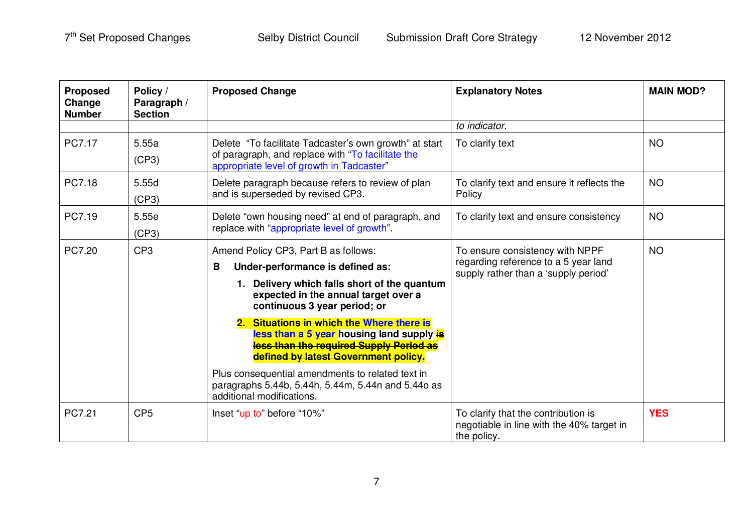| <b>Proposed</b><br>Change<br><b>Number</b> | Policy /<br>Paragraph /<br><b>Section</b> | <b>Proposed Change</b>                                                                                                                                                                                | <b>Explanatory Notes</b>                                                                                        | <b>MAIN MOD?</b> |
|--------------------------------------------|-------------------------------------------|-------------------------------------------------------------------------------------------------------------------------------------------------------------------------------------------------------|-----------------------------------------------------------------------------------------------------------------|------------------|
|                                            |                                           |                                                                                                                                                                                                       | to indicator.                                                                                                   |                  |
| PC7.17                                     | 5.55a<br>(CP3)                            | Delete "To facilitate Tadcaster's own growth" at start<br>of paragraph, and replace with "To facilitate the<br>appropriate level of growth in Tadcaster"                                              | To clarify text                                                                                                 | <b>NO</b>        |
| PC7.18                                     | 5.55d<br>(CP3)                            | Delete paragraph because refers to review of plan<br>and is superseded by revised CP3.                                                                                                                | To clarify text and ensure it reflects the<br>Policy                                                            | <b>NO</b>        |
| PC7.19                                     | 5.55e<br>(CP3)                            | Delete "own housing need" at end of paragraph, and<br>replace with "appropriate level of growth".                                                                                                     | To clarify text and ensure consistency                                                                          | <b>NO</b>        |
| PC7.20                                     | CP <sub>3</sub>                           | Amend Policy CP3, Part B as follows:<br>Under-performance is defined as:<br>B<br>1. Delivery which falls short of the quantum<br>expected in the annual target over a<br>continuous 3 year period; or | To ensure consistency with NPPF<br>regarding reference to a 5 year land<br>supply rather than a 'supply period' | <b>NO</b>        |
|                                            |                                           | 2. Situations in which the Where there is<br>less than a 5 year housing land supply is<br>less than the required Supply Period as<br>defined by latest Government policy.                             |                                                                                                                 |                  |
|                                            |                                           | Plus consequential amendments to related text in<br>paragraphs 5.44b, 5.44h, 5.44m, 5.44n and 5.44o as<br>additional modifications.                                                                   |                                                                                                                 |                  |
| PC7.21                                     | CP <sub>5</sub>                           | Inset "up to" before "10%"                                                                                                                                                                            | To clarify that the contribution is<br>negotiable in line with the 40% target in<br>the policy.                 | <b>YES</b>       |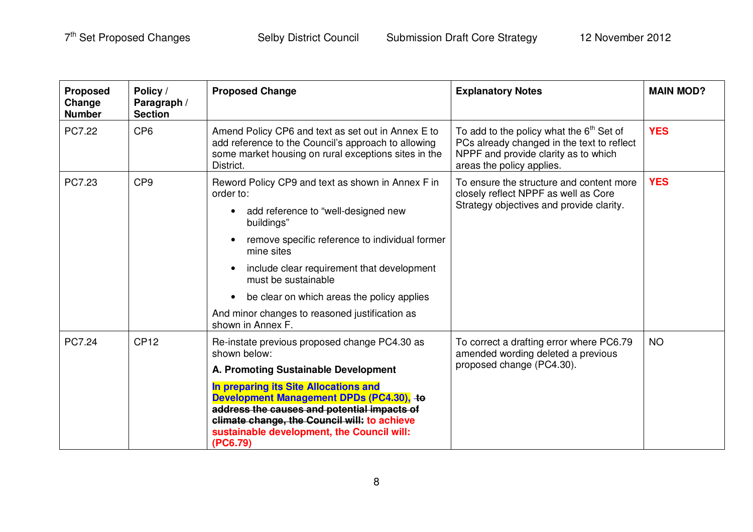| <b>Proposed</b><br>Change<br><b>Number</b> | Policy /<br>Paragraph /<br><b>Section</b> | <b>Proposed Change</b>                                                                                                                                                                                                                                                                                                                                                                     | <b>Explanatory Notes</b>                                                                                                                                      | <b>MAIN MOD?</b> |
|--------------------------------------------|-------------------------------------------|--------------------------------------------------------------------------------------------------------------------------------------------------------------------------------------------------------------------------------------------------------------------------------------------------------------------------------------------------------------------------------------------|---------------------------------------------------------------------------------------------------------------------------------------------------------------|------------------|
| PC7.22                                     | CP <sub>6</sub>                           | Amend Policy CP6 and text as set out in Annex E to<br>add reference to the Council's approach to allowing<br>some market housing on rural exceptions sites in the<br>District.                                                                                                                                                                                                             | To add to the policy what the $6th$ Set of<br>PCs already changed in the text to reflect<br>NPPF and provide clarity as to which<br>areas the policy applies. | <b>YES</b>       |
| PC7.23                                     | CP <sub>9</sub>                           | Reword Policy CP9 and text as shown in Annex F in<br>order to:<br>add reference to "well-designed new<br>buildings"<br>remove specific reference to individual former<br>mine sites<br>include clear requirement that development<br>must be sustainable<br>be clear on which areas the policy applies<br>$\bullet$<br>And minor changes to reasoned justification as<br>shown in Annex F. | To ensure the structure and content more<br>closely reflect NPPF as well as Core<br>Strategy objectives and provide clarity.                                  | <b>YES</b>       |
| PC7.24                                     | <b>CP12</b>                               | Re-instate previous proposed change PC4.30 as<br>shown below:<br>A. Promoting Sustainable Development<br>In preparing its Site Allocations and<br>Development Management DPDs (PC4.30), to<br>address the causes and potential impacts of<br>climate change, the Council will: to achieve<br>sustainable development, the Council will:<br>(PC6.79)                                        | To correct a drafting error where PC6.79<br>amended wording deleted a previous<br>proposed change (PC4.30).                                                   | <b>NO</b>        |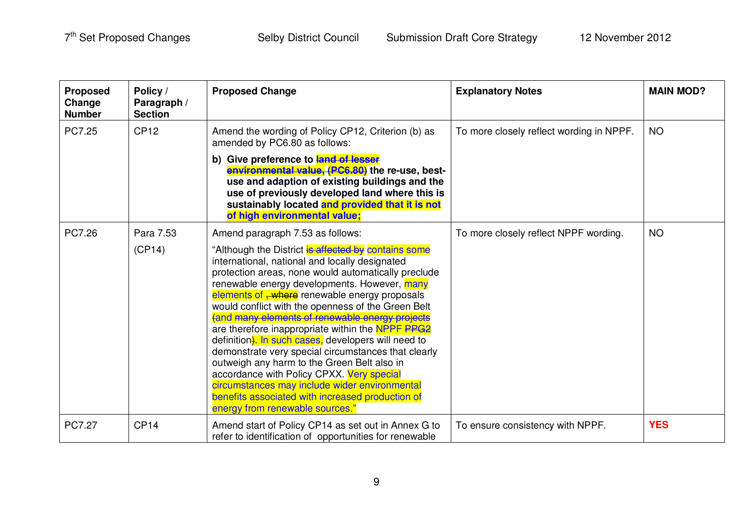| <b>Proposed</b><br>Change<br><b>Number</b> | Policy /<br>Paragraph /<br><b>Section</b> | <b>Proposed Change</b>                                                                                                                                                                                                                                                                                                                                                                                                                                                                                                                                                                                                                                                                                                                                                                   | <b>Explanatory Notes</b>                 | <b>MAIN MOD?</b> |
|--------------------------------------------|-------------------------------------------|------------------------------------------------------------------------------------------------------------------------------------------------------------------------------------------------------------------------------------------------------------------------------------------------------------------------------------------------------------------------------------------------------------------------------------------------------------------------------------------------------------------------------------------------------------------------------------------------------------------------------------------------------------------------------------------------------------------------------------------------------------------------------------------|------------------------------------------|------------------|
| PC7.25                                     | <b>CP12</b>                               | Amend the wording of Policy CP12, Criterion (b) as<br>amended by PC6.80 as follows:                                                                                                                                                                                                                                                                                                                                                                                                                                                                                                                                                                                                                                                                                                      | To more closely reflect wording in NPPF. | <b>NO</b>        |
|                                            |                                           | b) Give preference to land of lesser<br>environmental value, (PC6.80) the re-use, best-<br>use and adaption of existing buildings and the<br>use of previously developed land where this is<br>sustainably located and provided that it is not<br>of high environmental value;                                                                                                                                                                                                                                                                                                                                                                                                                                                                                                           |                                          |                  |
| PC7.26                                     | Para 7.53                                 | Amend paragraph 7.53 as follows:                                                                                                                                                                                                                                                                                                                                                                                                                                                                                                                                                                                                                                                                                                                                                         | To more closely reflect NPPF wording.    | <b>NO</b>        |
|                                            | (CP14)                                    | "Although the District is affected by contains some<br>international, national and locally designated<br>protection areas, none would automatically preclude<br>renewable energy developments. However, many<br>elements of <del>, where</del> renewable energy proposals<br>would conflict with the openness of the Green Belt<br>(and many elements of renewable energy projects<br>are therefore inappropriate within the NPPF PPG2<br>definition). In such cases, developers will need to<br>demonstrate very special circumstances that clearly<br>outweigh any harm to the Green Belt also in<br>accordance with Policy CPXX. Very special<br>circumstances may include wider environmental<br>benefits associated with increased production of<br>energy from renewable sources." |                                          |                  |
| PC7.27                                     | CP <sub>14</sub>                          | Amend start of Policy CP14 as set out in Annex G to<br>refer to identification of opportunities for renewable                                                                                                                                                                                                                                                                                                                                                                                                                                                                                                                                                                                                                                                                            | To ensure consistency with NPPF.         | <b>YES</b>       |